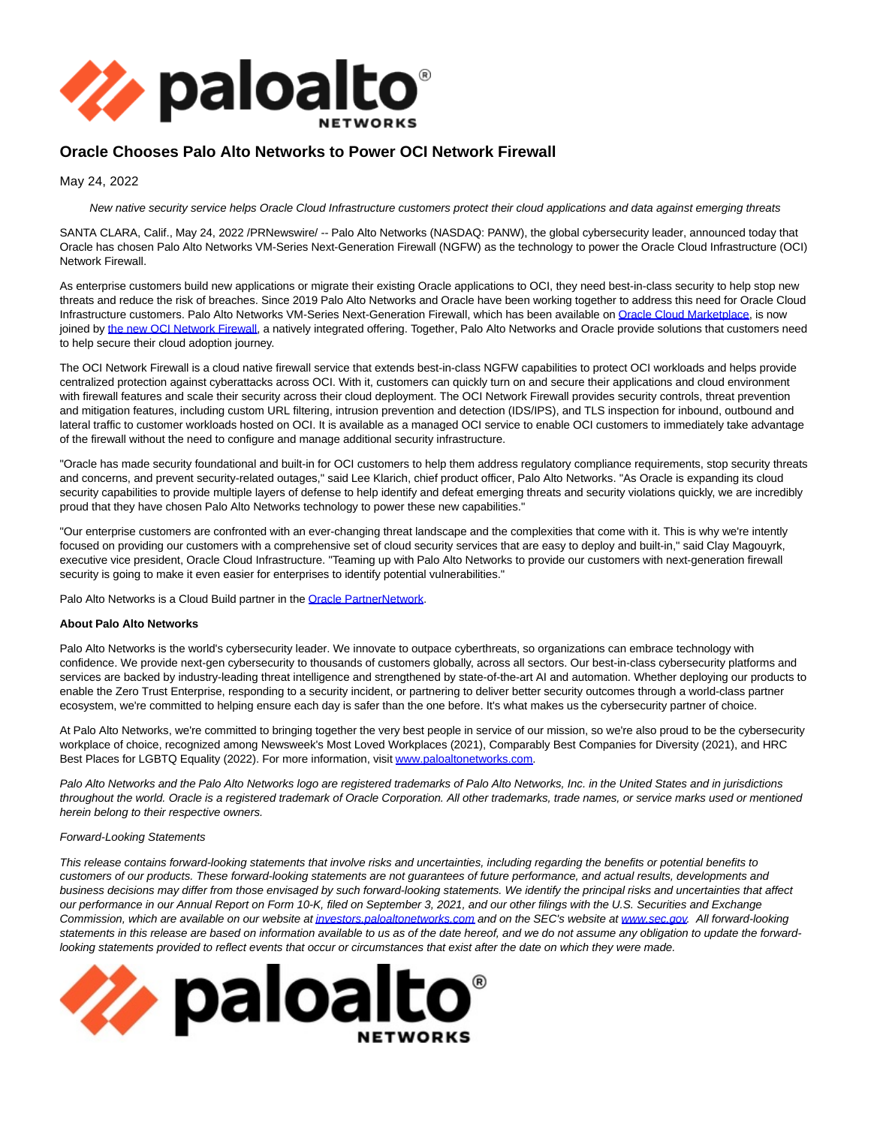

## **Oracle Chooses Palo Alto Networks to Power OCI Network Firewall**

May 24, 2022

New native security service helps Oracle Cloud Infrastructure customers protect their cloud applications and data against emerging threats

SANTA CLARA, Calif., May 24, 2022 /PRNewswire/ -- Palo Alto Networks (NASDAQ: PANW), the global cybersecurity leader, announced today that Oracle has chosen Palo Alto Networks VM-Series Next-Generation Firewall (NGFW) as the technology to power the Oracle Cloud Infrastructure (OCI) Network Firewall.

As enterprise customers build new applications or migrate their existing Oracle applications to OCI, they need best-in-class security to help stop new threats and reduce the risk of breaches. Since 2019 Palo Alto Networks and Oracle have been working together to address this need for Oracle Cloud Infrastructure customers. Palo Alto Networks VM-Series Next-Generation Firewall, which has been available on [Oracle Cloud Marketplace,](https://cloudmarketplace.oracle.com/marketplace/en_US/homePage.jspx) is now joined by [the new OCI Network Firewall,](https://www.oracle.com/security/cloud-security/network-firewall/) a natively integrated offering. Together, Palo Alto Networks and Oracle provide solutions that customers need to help secure their cloud adoption journey.

The OCI Network Firewall is a cloud native firewall service that extends best-in-class NGFW capabilities to protect OCI workloads and helps provide centralized protection against cyberattacks across OCI. With it, customers can quickly turn on and secure their applications and cloud environment with firewall features and scale their security across their cloud deployment. The OCI Network Firewall provides security controls, threat prevention and mitigation features, including custom URL filtering, intrusion prevention and detection (IDS/IPS), and TLS inspection for inbound, outbound and lateral traffic to customer workloads hosted on OCI. It is available as a managed OCI service to enable OCI customers to immediately take advantage of the firewall without the need to configure and manage additional security infrastructure.

"Oracle has made security foundational and built-in for OCI customers to help them address regulatory compliance requirements, stop security threats and concerns, and prevent security-related outages," said Lee Klarich, chief product officer, Palo Alto Networks. "As Oracle is expanding its cloud security capabilities to provide multiple layers of defense to help identify and defeat emerging threats and security violations quickly, we are incredibly proud that they have chosen Palo Alto Networks technology to power these new capabilities."

"Our enterprise customers are confronted with an ever-changing threat landscape and the complexities that come with it. This is why we're intently focused on providing our customers with a comprehensive set of cloud security services that are easy to deploy and built-in," said Clay Magouyrk, executive vice president, Oracle Cloud Infrastructure. "Teaming up with Palo Alto Networks to provide our customers with next-generation firewall security is going to make it even easier for enterprises to identify potential vulnerabilities."

Palo Alto Networks is a Cloud Build partner in the [Oracle PartnerNetwork.](https://www.oracle.com/partner/)

## **About Palo Alto Networks**

Palo Alto Networks is the world's cybersecurity leader. We innovate to outpace cyberthreats, so organizations can embrace technology with confidence. We provide next-gen cybersecurity to thousands of customers globally, across all sectors. Our best-in-class cybersecurity platforms and services are backed by industry-leading threat intelligence and strengthened by state-of-the-art AI and automation. Whether deploying our products to enable the Zero Trust Enterprise, responding to a security incident, or partnering to deliver better security outcomes through a world-class partner ecosystem, we're committed to helping ensure each day is safer than the one before. It's what makes us the cybersecurity partner of choice.

At Palo Alto Networks, we're committed to bringing together the very best people in service of our mission, so we're also proud to be the cybersecurity workplace of choice, recognized among Newsweek's Most Loved Workplaces (2021), Comparably Best Companies for Diversity (2021), and HRC Best Places for LGBTQ Equality (2022). For more information, visi[t www.paloaltonetworks.com.](http://www.paloaltonetworks.com/)

Palo Alto Networks and the Palo Alto Networks logo are registered trademarks of Palo Alto Networks, Inc. in the United States and in jurisdictions throughout the world. Oracle is a registered trademark of Oracle Corporation. All other trademarks, trade names, or service marks used or mentioned herein belong to their respective owners.

## Forward-Looking Statements

This release contains forward-looking statements that involve risks and uncertainties, including regarding the benefits or potential benefits to customers of our products. These forward-looking statements are not guarantees of future performance, and actual results, developments and business decisions may differ from those envisaged by such forward-looking statements. We identify the principal risks and uncertainties that affect our performance in our Annual Report on Form 10-K, filed on September 3, 2021, and our other filings with the U.S. Securities and Exchange Commission, which are available on our website a[t investors.paloaltonetworks.com a](http://investors.paloaltonetworks.com/)nd on the SEC's website at [www.sec.gov.](http://www.sec.gov/) All forward-looking statements in this release are based on information available to us as of the date hereof, and we do not assume any obligation to update the forwardlooking statements provided to reflect events that occur or circumstances that exist after the date on which they were made.